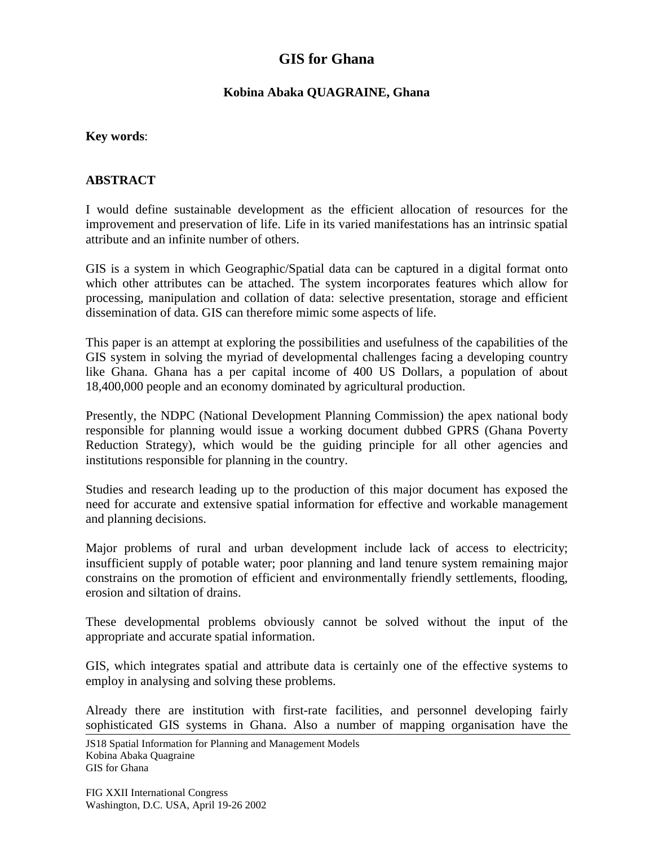# **GIS for Ghana**

### **Kobina Abaka QUAGRAINE, Ghana**

#### **Key words**:

### **ABSTRACT**

I would define sustainable development as the efficient allocation of resources for the improvement and preservation of life. Life in its varied manifestations has an intrinsic spatial attribute and an infinite number of others.

GIS is a system in which Geographic/Spatial data can be captured in a digital format onto which other attributes can be attached. The system incorporates features which allow for processing, manipulation and collation of data: selective presentation, storage and efficient dissemination of data. GIS can therefore mimic some aspects of life.

This paper is an attempt at exploring the possibilities and usefulness of the capabilities of the GIS system in solving the myriad of developmental challenges facing a developing country like Ghana. Ghana has a per capital income of 400 US Dollars, a population of about 18,400,000 people and an economy dominated by agricultural production.

Presently, the NDPC (National Development Planning Commission) the apex national body responsible for planning would issue a working document dubbed GPRS (Ghana Poverty Reduction Strategy), which would be the guiding principle for all other agencies and institutions responsible for planning in the country.

Studies and research leading up to the production of this major document has exposed the need for accurate and extensive spatial information for effective and workable management and planning decisions.

Major problems of rural and urban development include lack of access to electricity; insufficient supply of potable water; poor planning and land tenure system remaining major constrains on the promotion of efficient and environmentally friendly settlements, flooding, erosion and siltation of drains.

These developmental problems obviously cannot be solved without the input of the appropriate and accurate spatial information.

GIS, which integrates spatial and attribute data is certainly one of the effective systems to employ in analysing and solving these problems.

Already there are institution with first-rate facilities, and personnel developing fairly sophisticated GIS systems in Ghana. Also a number of mapping organisation have the

JS18 Spatial Information for Planning and Management Models Kobina Abaka Quagraine GIS for Ghana